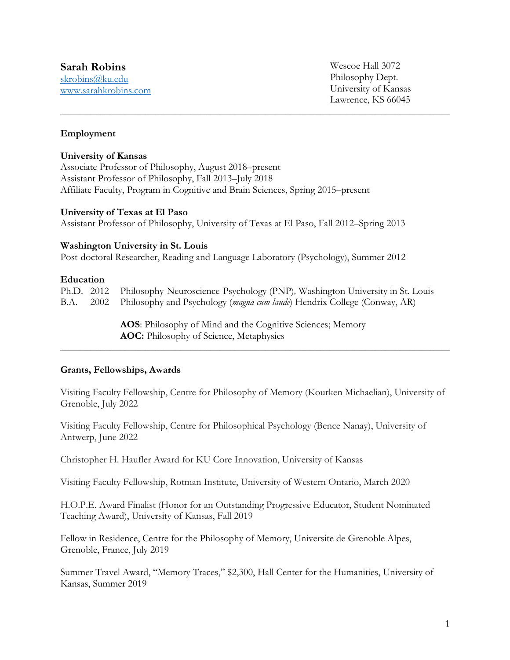## **Sarah Robins**

skrobins@ku.edu www.sarahkrobins.com Wescoe Hall 3072 Philosophy Dept. University of Kansas Lawrence, KS 66045

## **Employment**

#### **University of Kansas**

Associate Professor of Philosophy, August 2018–present Assistant Professor of Philosophy, Fall 2013–July 2018 Affiliate Faculty, Program in Cognitive and Brain Sciences, Spring 2015–present

#### **University of Texas at El Paso**

Assistant Professor of Philosophy, University of Texas at El Paso, Fall 2012–Spring 2013

**\_\_\_\_\_\_\_\_\_\_\_\_\_\_\_\_\_\_\_\_\_\_\_\_\_\_\_\_\_\_\_\_\_\_\_\_\_\_\_\_\_\_\_\_\_\_\_\_\_\_\_\_\_\_\_\_\_\_\_\_\_\_\_\_\_\_\_\_\_\_\_\_\_\_\_\_\_\_**

## **Washington University in St. Louis**

Post-doctoral Researcher, Reading and Language Laboratory (Psychology), Summer 2012

## **Education**

|  | Ph.D. 2012 Philosophy-Neuroscience-Psychology (PNP), Washington University in St. Louis |
|--|-----------------------------------------------------------------------------------------|
|  | B.A. 2002 Philosophy and Psychology (magna cum laude) Hendrix College (Conway, AR)      |

**AOS**: Philosophy of Mind and the Cognitive Sciences; Memory **AOC:** Philosophy of Science, Metaphysics

## **Grants, Fellowships, Awards**

Visiting Faculty Fellowship, Centre for Philosophy of Memory (Kourken Michaelian), University of Grenoble, July 2022

**\_\_\_\_\_\_\_\_\_\_\_\_\_\_\_\_\_\_\_\_\_\_\_\_\_\_\_\_\_\_\_\_\_\_\_\_\_\_\_\_\_\_\_\_\_\_\_\_\_\_\_\_\_\_\_\_\_\_\_\_\_\_\_\_\_\_\_\_\_\_\_\_\_\_\_\_\_\_** 

Visiting Faculty Fellowship, Centre for Philosophical Psychology (Bence Nanay), University of Antwerp, June 2022

Christopher H. Haufler Award for KU Core Innovation, University of Kansas

Visiting Faculty Fellowship, Rotman Institute, University of Western Ontario, March 2020

H.O.P.E. Award Finalist (Honor for an Outstanding Progressive Educator, Student Nominated Teaching Award), University of Kansas, Fall 2019

Fellow in Residence, Centre for the Philosophy of Memory, Universite de Grenoble Alpes, Grenoble, France, July 2019

Summer Travel Award, "Memory Traces," \$2,300, Hall Center for the Humanities, University of Kansas, Summer 2019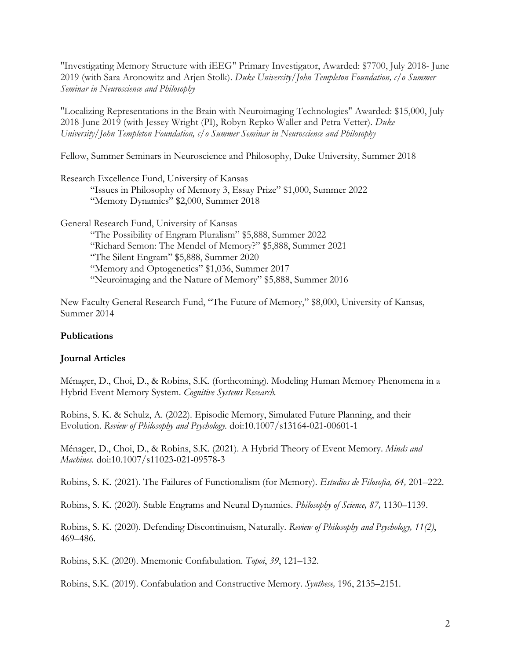"Investigating Memory Structure with iEEG" Primary Investigator, Awarded: \$7700, July 2018- June 2019 (with Sara Aronowitz and Arjen Stolk). *Duke University/John Templeton Foundation, c/o Summer Seminar in Neuroscience and Philosophy* 

"Localizing Representations in the Brain with Neuroimaging Technologies" Awarded: \$15,000, July 2018-June 2019 (with Jessey Wright (PI), Robyn Repko Waller and Petra Vetter). *Duke University/John Templeton Foundation, c/o Summer Seminar in Neuroscience and Philosophy* 

Fellow, Summer Seminars in Neuroscience and Philosophy, Duke University, Summer 2018

Research Excellence Fund, University of Kansas

"Issues in Philosophy of Memory 3, Essay Prize" \$1,000, Summer 2022 "Memory Dynamics" \$2,000, Summer 2018

General Research Fund, University of Kansas "The Possibility of Engram Pluralism" \$5,888, Summer 2022 "Richard Semon: The Mendel of Memory?" \$5,888, Summer 2021 "The Silent Engram" \$5,888, Summer 2020 "Memory and Optogenetics" \$1,036, Summer 2017 "Neuroimaging and the Nature of Memory" \$5,888, Summer 2016

New Faculty General Research Fund, "The Future of Memory," \$8,000, University of Kansas, Summer 2014

## **Publications**

## **Journal Articles**

Ménager, D., Choi, D., & Robins, S.K. (forthcoming). Modeling Human Memory Phenomena in a Hybrid Event Memory System. *Cognitive Systems Research.* 

Robins, S. K. & Schulz, A. (2022). Episodic Memory, Simulated Future Planning, and their Evolution. *Review of Philosophy and Psychology.* doi:10.1007/s13164-021-00601-1

Ménager, D., Choi, D., & Robins, S.K. (2021). A Hybrid Theory of Event Memory. *Minds and Machines.* doi:10.1007/s11023-021-09578-3

Robins, S. K. (2021). The Failures of Functionalism (for Memory). *Estudios de Filosofia, 64,* 201–222.

Robins, S. K. (2020). Stable Engrams and Neural Dynamics. *Philosophy of Science, 87,* 1130–1139.

Robins, S. K. (2020). Defending Discontinuism, Naturally. *Review of Philosophy and Psychology, 11(2)*, 469–486.

Robins, S.K. (2020). Mnemonic Confabulation. *Topoi*, *39*, 121–132.

Robins, S.K. (2019). Confabulation and Constructive Memory. *Synthese,* 196, 2135–2151*.*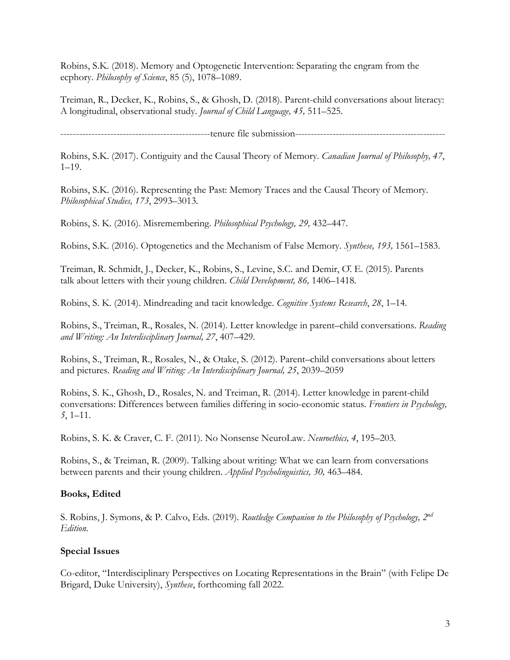Robins, S.K. (2018). Memory and Optogenetic Intervention: Separating the engram from the ecphory. *Philosophy of Science*, 85 (5), 1078–1089.

Treiman, R., Decker, K., Robins, S., & Ghosh, D. (2018). Parent-child conversations about literacy: A longitudinal, observational study. *Journal of Child Language, 45,* 511–525.

------------------------------------------------tenure file submission------------------------------------------------

Robins, S.K. (2017). Contiguity and the Causal Theory of Memory. *Canadian Journal of Philosophy, 47*,  $1-19.$ 

Robins, S.K. (2016). Representing the Past: Memory Traces and the Causal Theory of Memory. *Philosophical Studies, 173*, 2993–3013.

Robins, S. K. (2016). Misremembering. *Philosophical Psychology, 29,* 432–447.

Robins, S.K. (2016). Optogenetics and the Mechanism of False Memory. *Synthese, 193,* 1561–1583.

Treiman, R. Schmidt, J., Decker, K., Robins, S., Levine, S.C. and Demir, Ö. E. (2015). Parents talk about letters with their young children. *Child Development, 86,* 1406–1418*.* 

Robins, S. K. (2014). Mindreading and tacit knowledge. *Cognitive Systems Research*, *28*, 1–14.

Robins, S., Treiman, R., Rosales, N. (2014). Letter knowledge in parent–child conversations. *Reading and Writing: An Interdisciplinary Journal, 27*, 407–429.

Robins, S., Treiman, R., Rosales, N., & Otake, S. (2012). Parent–child conversations about letters and pictures. *Reading and Writing: An Interdisciplinary Journal, 25*, 2039–2059

Robins, S. K., Ghosh, D., Rosales, N. and Treiman, R. (2014). Letter knowledge in parent-child conversations: Differences between families differing in socio-economic status. *Frontiers in Psychology, 5*, 1–11.

Robins, S. K. & Craver, C. F. (2011). No Nonsense NeuroLaw. *Neuroethics, 4*, 195–203.

Robins, S., & Treiman, R. (2009). Talking about writing: What we can learn from conversations between parents and their young children. *Applied Psycholinguistics, 30,* 463–484.

## **Books, Edited**

S. Robins, J. Symons, & P. Calvo, Eds. (2019). *Routledge Companion to the Philosophy of Psychology, 2nd Edition*.

## **Special Issues**

Co-editor, "Interdisciplinary Perspectives on Locating Representations in the Brain" (with Felipe De Brigard, Duke University), *Synthese*, forthcoming fall 2022.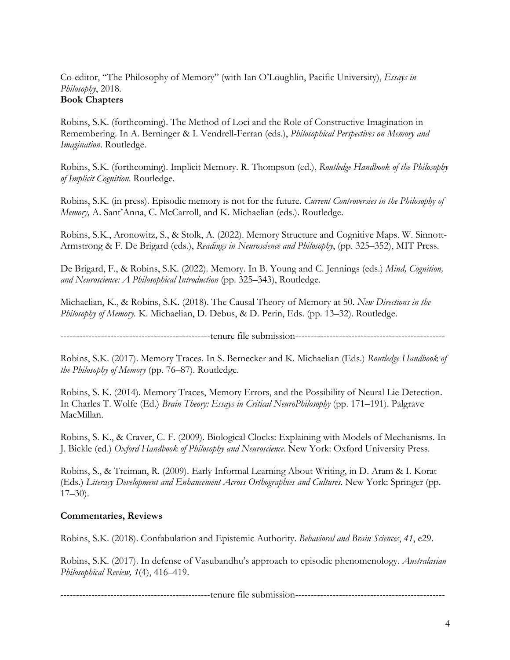Co-editor, "The Philosophy of Memory" (with Ian O'Loughlin, Pacific University), *Essays in Philosophy*, 2018. **Book Chapters** 

Robins, S.K. (forthcoming). The Method of Loci and the Role of Constructive Imagination in Remembering. In A. Berninger & I. Vendrell-Ferran (eds.), *Philosophical Perspectives on Memory and Imagination*. Routledge.

Robins, S.K. (forthcoming). Implicit Memory. R. Thompson (ed.), *Routledge Handbook of the Philosophy of Implicit Cognition*. Routledge.

Robins, S.K. (in press). Episodic memory is not for the future. *Current Controversies in the Philosophy of Memory,* A. Sant'Anna, C. McCarroll, and K. Michaelian (eds.). Routledge.

Robins, S.K., Aronowitz, S., & Stolk, A. (2022). Memory Structure and Cognitive Maps. W. Sinnott-Armstrong & F. De Brigard (eds.), *Readings in Neuroscience and Philosophy*, (pp. 325–352), MIT Press.

De Brigard, F., & Robins, S.K. (2022). Memory. In B. Young and C. Jennings (eds.) *Mind, Cognition, and Neuroscience: A Philosophical Introduction* (pp. 325–343), Routledge.

Michaelian, K., & Robins, S.K. (2018). The Causal Theory of Memory at 50. *New Directions in the Philosophy of Memory.* K. Michaelian, D. Debus, & D. Perin, Eds. (pp. 13–32). Routledge.

------------------------------------------------tenure file submission------------------------------------------------

Robins, S.K. (2017). Memory Traces. In S. Bernecker and K. Michaelian (Eds.) *Routledge Handbook of the Philosophy of Memory* (pp. 76–87). Routledge.

Robins, S. K. (2014). Memory Traces, Memory Errors, and the Possibility of Neural Lie Detection. In Charles T. Wolfe (Ed.) *Brain Theory: Essays in Critical NeuroPhilosophy* (pp. 171–191). Palgrave MacMillan.

Robins, S. K., & Craver, C. F. (2009). Biological Clocks: Explaining with Models of Mechanisms. In J. Bickle (ed.) *Oxford Handbook of Philosophy and Neuroscience*. New York: Oxford University Press.

Robins, S., & Treiman, R. (2009). Early Informal Learning About Writing, in D. Aram & I. Korat (Eds.) *Literacy Development and Enhancement Across Orthographies and Cultures*. New York: Springer (pp.  $17-30$ ).

## **Commentaries, Reviews**

Robins, S.K. (2018). Confabulation and Epistemic Authority. *Behavioral and Brain Sciences*, *41*, e29.

Robins, S.K. (2017). In defense of Vasubandhu's approach to episodic phenomenology. *Australasian Philosophical Review, 1*(4), 416–419.

------------------------------------------------tenure file submission------------------------------------------------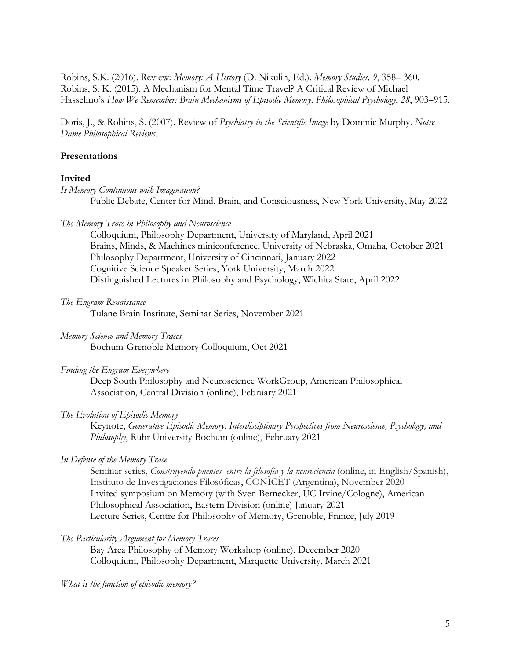Robins, S.K. (2016). Review: *Memory: A History* (D. Nikulin, Ed.). *Memory Studies, 9*, 358– 360. Robins, S. K. (2015). A Mechanism for Mental Time Travel? A Critical Review of Michael Hasselmo's *How We Remember: Brain Mechanisms of Episodic Memory*. *Philosophical Psychology*, *28*, 903–915.

Doris, J., & Robins, S. (2007). Review of *Psychiatry in the Scientific Image* by Dominic Murphy. *Notre Dame Philosophical Reviews.* 

## **Presentations**

## **Invited**

*Is Memory Continuous with Imagination?* Public Debate, Center for Mind, Brain, and Consciousness, New York University, May 2022

#### *The Memory Trace in Philosophy and Neuroscience*

Colloquium, Philosophy Department, University of Maryland, April 2021 Brains, Minds, & Machines miniconference, University of Nebraska, Omaha, October 2021 Philosophy Department, University of Cincinnati, January 2022 Cognitive Science Speaker Series, York University, March 2022 Distinguished Lectures in Philosophy and Psychology, Wichita State, April 2022

*The Engram Renaissance* 

Tulane Brain Institute, Seminar Series, November 2021

*Memory Science and Memory Traces* 

Bochum-Grenoble Memory Colloquium, Oct 2021

#### *Finding the Engram Everywhere*

Deep South Philosophy and Neuroscience WorkGroup, American Philosophical Association, Central Division (online), February 2021

#### *The Evolution of Episodic Memory*

Keynote, *Generative Episodic Memory: Interdisciplinary Perspectives from Neuroscience, Psychology, and Philosophy*, Ruhr University Bochum (online), February 2021

#### *In Defense of the Memory Trace*

Seminar series, *Construyendo puentes entre la filosofía y la neurociencia* (online, in English/Spanish), Instituto de Investigaciones Filosóficas, CONICET (Argentina), November 2020 Invited symposium on Memory (with Sven Bernecker, UC Irvine/Cologne), American Philosophical Association, Eastern Division (online) January 2021 Lecture Series, Centre for Philosophy of Memory, Grenoble, France, July 2019

#### *The Particularity Argument for Memory Traces*

Bay Area Philosophy of Memory Workshop (online), December 2020 Colloquium, Philosophy Department, Marquette University, March 2021

*What is the function of episodic memory?*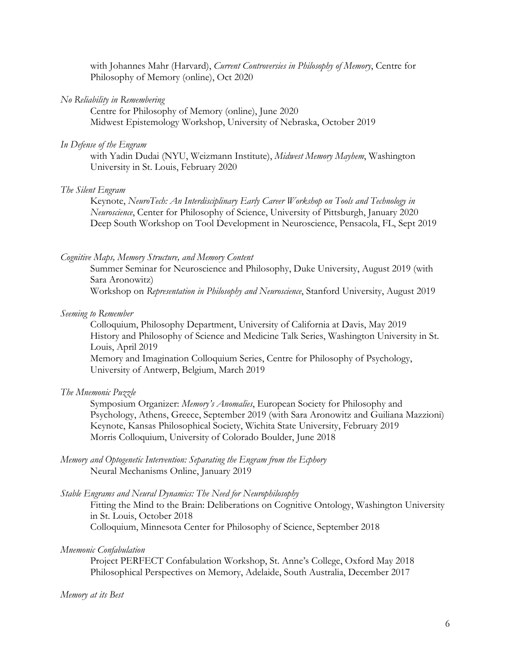with Johannes Mahr (Harvard), *Current Controversies in Philosophy of Memory*, Centre for Philosophy of Memory (online), Oct 2020

#### *No Reliability in Remembering*

Centre for Philosophy of Memory (online), June 2020 Midwest Epistemology Workshop, University of Nebraska, October 2019

#### *In Defense of the Engram*

with Yadin Dudai (NYU, Weizmann Institute), *Midwest Memory Mayhem*, Washington University in St. Louis, February 2020

#### *The Silent Engram*

Keynote, *NeuroTech: An Interdisciplinary Early Career Workshop on Tools and Technology in Neuroscience*, Center for Philosophy of Science, University of Pittsburgh, January 2020 Deep South Workshop on Tool Development in Neuroscience, Pensacola, FL, Sept 2019

#### *Cognitive Maps, Memory Structure, and Memory Content*

Summer Seminar for Neuroscience and Philosophy, Duke University, August 2019 (with Sara Aronowitz) Workshop on *Representation in Philosophy and Neuroscience*, Stanford University, August 2019

#### *Seeming to Remember*

Colloquium, Philosophy Department, University of California at Davis, May 2019 History and Philosophy of Science and Medicine Talk Series, Washington University in St. Louis, April 2019 Memory and Imagination Colloquium Series, Centre for Philosophy of Psychology,

University of Antwerp, Belgium, March 2019

#### *The Mnemonic Puzzle*

Symposium Organizer: *Memory's Anomalies*, European Society for Philosophy and Psychology, Athens, Greece, September 2019 (with Sara Aronowitz and Guiliana Mazzioni) Keynote, Kansas Philosophical Society, Wichita State University, February 2019 Morris Colloquium, University of Colorado Boulder, June 2018

*Memory and Optogenetic Intervention: Separating the Engram from the Ecphory* Neural Mechanisms Online, January 2019

#### *Stable Engrams and Neural Dynamics: The Need for Neurophilosophy*

Fitting the Mind to the Brain: Deliberations on Cognitive Ontology, Washington University in St. Louis, October 2018 Colloquium, Minnesota Center for Philosophy of Science, September 2018

## *Mnemonic Confabulation*

Project PERFECT Confabulation Workshop, St. Anne's College, Oxford May 2018 Philosophical Perspectives on Memory, Adelaide, South Australia, December 2017

#### *Memory at its Best*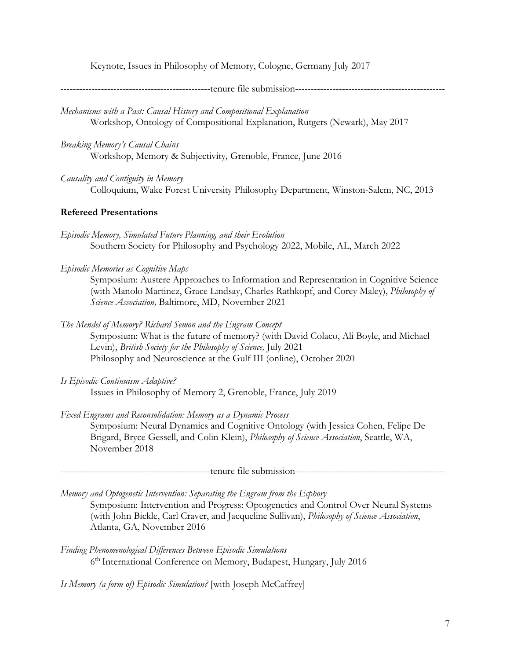Keynote, Issues in Philosophy of Memory, Cologne, Germany July 2017

------------------------------------------------tenure file submission------------------------------------------------

*Mechanisms with a Past: Causal History and Compositional Explanation*  Workshop, Ontology of Compositional Explanation, Rutgers (Newark), May 2017

*Breaking Memory's Causal Chains* Workshop, Memory & Subjectivity*,* Grenoble, France, June 2016

*Causality and Contiguity in Memory* Colloquium, Wake Forest University Philosophy Department, Winston-Salem, NC, 2013

## **Refereed Presentations**

- *Episodic Memory, Simulated Future Planning, and their Evolution* Southern Society for Philosophy and Psychology 2022, Mobile, AL, March 2022
- *Episodic Memories as Cognitive Maps*

Symposium: Austere Approaches to Information and Representation in Cognitive Science (with Manolo Martinez, Grace Lindsay, Charles Rathkopf, and Corey Maley), *Philosophy of Science Association,* Baltimore, MD, November 2021

*The Mendel of Memory? Richard Semon and the Engram Concept* Symposium: What is the future of memory? (with David Colaco, Ali Boyle, and Michael

Levin), *British Society for the Philosophy of Science*, July 2021 Philosophy and Neuroscience at the Gulf III (online), October 2020

- *Is Episodic Continuism Adaptive?* Issues in Philosophy of Memory 2, Grenoble, France, July 2019
- *Fixed Engrams and Reconsolidation: Memory as a Dynamic Process* Symposium: Neural Dynamics and Cognitive Ontology (with Jessica Cohen, Felipe De Brigard, Bryce Gessell, and Colin Klein), *Philosophy of Science Association*, Seattle, WA, November 2018

------------------------------------------------tenure file submission------------------------------------------------

*Memory and Optogenetic Intervention: Separating the Engram from the Ecphory* Symposium: Intervention and Progress: Optogenetics and Control Over Neural Systems (with John Bickle, Carl Craver, and Jacqueline Sullivan), *Philosophy of Science Association*, Atlanta, GA, November 2016

*Finding Phenomenological Differences Between Episodic Simulations*  6th International Conference on Memory, Budapest, Hungary, July 2016

*Is Memory (a form of) Episodic Simulation?* [with Joseph McCaffrey]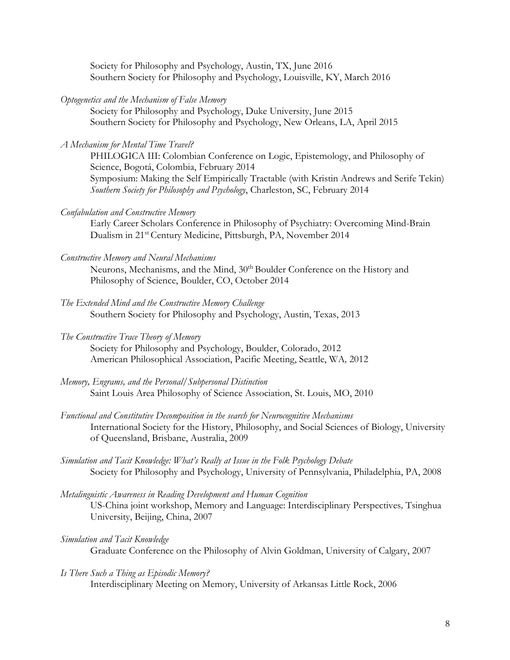Society for Philosophy and Psychology, Austin, TX, June 2016 Southern Society for Philosophy and Psychology, Louisville, KY, March 2016

*Optogenetics and the Mechanism of False Memory*

Society for Philosophy and Psychology, Duke University, June 2015 Southern Society for Philosophy and Psychology, New Orleans, LA, April 2015

*A Mechanism for Mental Time Travel?*

PHILOGICA III: Colombian Conference on Logic, Epistemology, and Philosophy of Science, Bogotá, Colombia, February 2014 Symposium: Making the Self Empirically Tractable (with Kristin Andrews and Serife Tekin) *Southern Society for Philosophy and Psychology*, Charleston, SC, February 2014

*Confabulation and Constructive Memory*

Early Career Scholars Conference in Philosophy of Psychiatry: Overcoming Mind-Brain Dualism in 21st Century Medicine, Pittsburgh, PA, November 2014

*Constructive Memory and Neural Mechanisms*

Neurons, Mechanisms, and the Mind, 30<sup>th</sup> Boulder Conference on the History and Philosophy of Science, Boulder, CO, October 2014

- *The Extended Mind and the Constructive Memory Challenge* Southern Society for Philosophy and Psychology, Austin, Texas, 2013
- *The Constructive Trace Theory of Memory*

Society for Philosophy and Psychology, Boulder, Colorado, 2012 American Philosophical Association, Pacific Meeting, Seattle, WA*,* 2012

- *Memory, Engrams, and the Personal/Subpersonal Distinction* Saint Louis Area Philosophy of Science Association, St. Louis, MO, 2010
- *Functional and Constitutive Decomposition in the search for Neurocognitive Mechanisms* International Society for the History, Philosophy, and Social Sciences of Biology, University of Queensland, Brisbane, Australia, 2009
- *Simulation and Tacit Knowledge: What's Really at Issue in the Folk Psychology Debate* Society for Philosophy and Psychology, University of Pennsylvania, Philadelphia, PA, 2008
- *Metalinguistic Awareness in Reading Development and Human Cognition*  US-China joint workshop, Memory and Language: Interdisciplinary Perspectives*,* Tsinghua University, Beijing, China, 2007
- *Simulation and Tacit Knowledge* Graduate Conference on the Philosophy of Alvin Goldman, University of Calgary, 2007
- *Is There Such a Thing as Episodic Memory?* Interdisciplinary Meeting on Memory, University of Arkansas Little Rock, 2006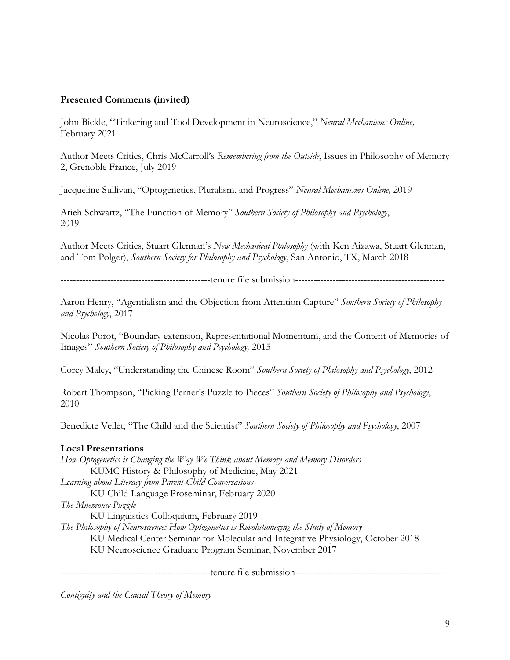## **Presented Comments (invited)**

John Bickle, "Tinkering and Tool Development in Neuroscience," *Neural Mechanisms Online,*  February 2021

Author Meets Critics, Chris McCarroll's *Remembering from the Outside*, Issues in Philosophy of Memory 2, Grenoble France, July 2019

Jacqueline Sullivan, "Optogenetics, Pluralism, and Progress" *Neural Mechanisms Online,* 2019

Arieh Schwartz, "The Function of Memory" *Southern Society of Philosophy and Psychology*, 2019

Author Meets Critics, Stuart Glennan's *New Mechanical Philosophy* (with Ken Aizawa, Stuart Glennan, and Tom Polger), *Southern Society for Philosophy and Psychology*, San Antonio, TX, March 2018

------------------------------------------------tenure file submission------------------------------------------------

Aaron Henry, "Agentialism and the Objection from Attention Capture" *Southern Society of Philosophy and Psychology*, 2017

Nicolas Porot, "Boundary extension, Representational Momentum, and the Content of Memories of Images" *Southern Society of Philosophy and Psychology,* 2015

Corey Maley, "Understanding the Chinese Room" *Southern Society of Philosophy and Psychology*, 2012

Robert Thompson, "Picking Perner's Puzzle to Pieces" *Southern Society of Philosophy and Psychology*, 2010

Benedicte Veilet, "The Child and the Scientist" *Southern Society of Philosophy and Psychology*, 2007

## **Local Presentations**

*How Optogenetics is Changing the Way We Think about Memory and Memory Disorders* KUMC History & Philosophy of Medicine, May 2021 *Learning about Literacy from Parent-Child Conversations* KU Child Language Proseminar, February 2020 *The Mnemonic Puzzle*

KU Linguistics Colloquium, February 2019

*The Philosophy of Neuroscience: How Optogenetics is Revolutionizing the Study of Memory*

KU Medical Center Seminar for Molecular and Integrative Physiology, October 2018

KU Neuroscience Graduate Program Seminar, November 2017

------------------------------------------------tenure file submission------------------------------------------------

*Contiguity and the Causal Theory of Memory*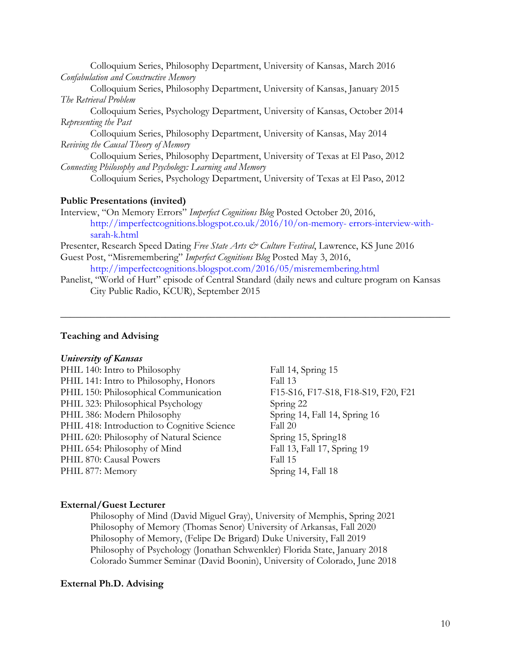Colloquium Series, Philosophy Department, University of Kansas, March 2016 *Confabulation and Constructive Memory*

Colloquium Series, Philosophy Department, University of Kansas, January 2015 *The Retrieval Problem*

Colloquium Series, Psychology Department, University of Kansas, October 2014 *Representing the Past*

Colloquium Series, Philosophy Department, University of Kansas, May 2014 *Reviving the Causal Theory of Memory*

Colloquium Series, Philosophy Department, University of Texas at El Paso, 2012 *Connecting Philosophy and Psychology: Learning and Memory*

Colloquium Series, Psychology Department, University of Texas at El Paso, 2012

#### **Public Presentations (invited)**

Interview, "On Memory Errors" *Imperfect Cognitions Blog* Posted October 20, 2016, http://imperfectcognitions.blogspot.co.uk/2016/10/on-memory- errors-interview-withsarah-k.html

Presenter, Research Speed Dating *Free State Arts & Culture Festival*, Lawrence, KS June 2016 Guest Post, "Misremembering" *Imperfect Cognitions Blog* Posted May 3, 2016,

http://imperfectcognitions.blogspot.com/2016/05/misremembering.html

Panelist, "World of Hurt" episode of Central Standard (daily news and culture program on Kansas City Public Radio, KCUR), September 2015

**\_\_\_\_\_\_\_\_\_\_\_\_\_\_\_\_\_\_\_\_\_\_\_\_\_\_\_\_\_\_\_\_\_\_\_\_\_\_\_\_\_\_\_\_\_\_\_\_\_\_\_\_\_\_\_\_\_\_\_\_\_\_\_\_\_\_\_\_\_\_\_\_\_\_\_\_\_\_**

#### **Teaching and Advising**

#### *University of Kansas*

| PHIL 140: Intro to Philosophy               |
|---------------------------------------------|
| PHIL 141: Intro to Philosophy, Honors       |
| PHIL 150: Philosophical Communication       |
| PHIL 323: Philosophical Psychology          |
| PHIL 386: Modern Philosophy                 |
| PHIL 418: Introduction to Cognitive Science |
| PHIL 620: Philosophy of Natural Science     |
| PHIL 654: Philosophy of Mind                |
| PHIL 870: Causal Powers                     |
| PHIL 877: Memory                            |

Fall 14, Spring 15 Fall 13 F15-S16, F17-S18, F18-S19, F20, F21 Spring 22 Spring 14, Fall 14, Spring 16 Fall 20 Spring 15, Spring18 Fall 13, Fall 17, Spring 19 Fall 15 Spring 14, Fall 18

#### **External/Guest Lecturer**

Philosophy of Mind (David Miguel Gray), University of Memphis, Spring 2021 Philosophy of Memory (Thomas Senor) University of Arkansas, Fall 2020 Philosophy of Memory, (Felipe De Brigard) Duke University, Fall 2019 Philosophy of Psychology (Jonathan Schwenkler) Florida State, January 2018 Colorado Summer Seminar (David Boonin), University of Colorado, June 2018

#### **External Ph.D. Advising**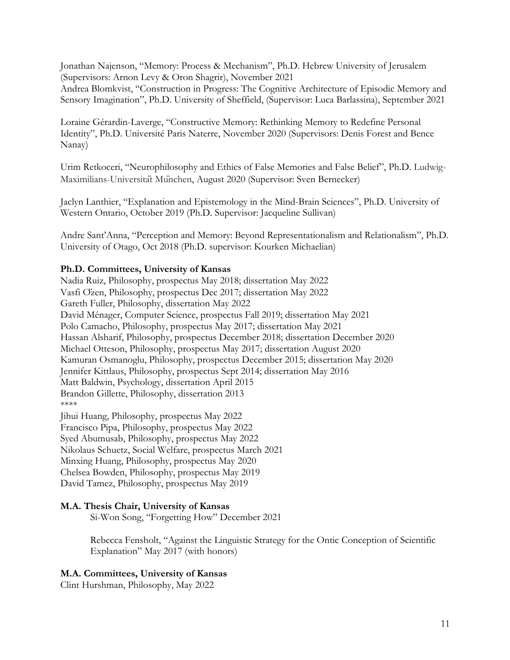Jonathan Najenson, "Memory: Process & Mechanism", Ph.D. Hebrew University of Jerusalem (Supervisors: Arnon Levy & Oron Shagrir), November 2021

Andrea Blomkvist, "Construction in Progress: The Cognitive Architecture of Episodic Memory and Sensory Imagination", Ph.D. University of Sheffield, (Supervisor: Luca Barlassina), September 2021

Loraine Gérardin-Laverge, "Constructive Memory: Rethinking Memory to Redefine Personal Identity", Ph.D. Université Paris Naterre, November 2020 (Supervisors: Denis Forest and Bence Nanay)

Urim Retkoceri, "Neurophilosophy and Ethics of False Memories and False Belief", Ph.D. Ludwig-Maximilians-Universität München, August 2020 (Supervisor: Sven Bernecker)

Jaclyn Lanthier, "Explanation and Epistemology in the Mind-Brain Sciences", Ph.D. University of Western Ontario, October 2019 (Ph.D. Supervisor: Jacqueline Sullivan)

Andre Sant'Anna, "Perception and Memory: Beyond Representationalism and Relationalism", Ph.D. University of Otago, Oct 2018 (Ph.D. supervisor: Kourken Michaelian)

## **Ph.D. Committees, University of Kansas**

Nadia Ruiz, Philosophy, prospectus May 2018; dissertation May 2022 Vasfi Özen, Philosophy, prospectus Dec 2017; dissertation May 2022 Gareth Fuller, Philosophy, dissertation May 2022 David Ménager, Computer Science, prospectus Fall 2019; dissertation May 2021 Polo Camacho, Philosophy, prospectus May 2017; dissertation May 2021 Hassan Alsharif, Philosophy, prospectus December 2018; dissertation December 2020 Michael Otteson, Philosophy, prospectus May 2017; dissertation August 2020 Kamuran Osmanoglu, Philosophy, prospectus December 2015; dissertation May 2020 Jennifer Kittlaus, Philosophy, prospectus Sept 2014; dissertation May 2016 Matt Baldwin, Psychology, dissertation April 2015 Brandon Gillette, Philosophy, dissertation 2013 \*\*\*\*

Jihui Huang, Philosophy, prospectus May 2022 Francisco Pipa, Philosophy, prospectus May 2022 Syed Abumusab, Philosophy, prospectus May 2022 Nikolaus Schuetz, Social Welfare, prospectus March 2021 Minxing Huang, Philosophy, prospectus May 2020 Chelsea Bowden, Philosophy, prospectus May 2019 David Tamez, Philosophy, prospectus May 2019

## **M.A. Thesis Chair, University of Kansas**

Si-Won Song, "Forgetting How" December 2021

Rebecca Fensholt, "Against the Linguistic Strategy for the Ontic Conception of Scientific Explanation" May 2017 (with honors)

## **M.A. Committees, University of Kansas**

Clint Hurshman, Philosophy, May 2022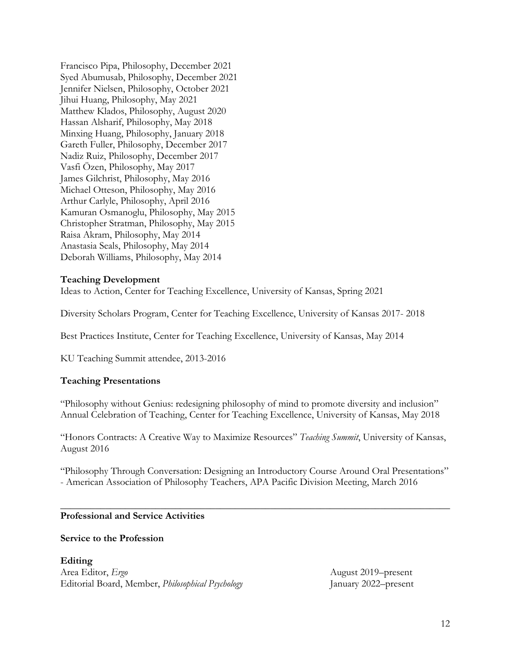Francisco Pipa, Philosophy, December 2021 Syed Abumusab, Philosophy, December 2021 Jennifer Nielsen, Philosophy, October 2021 Jihui Huang, Philosophy, May 2021 Matthew Klados, Philosophy, August 2020 Hassan Alsharif, Philosophy, May 2018 Minxing Huang, Philosophy, January 2018 Gareth Fuller, Philosophy, December 2017 Nadiz Ruiz, Philosophy, December 2017 Vasfi Özen, Philosophy, May 2017 James Gilchrist, Philosophy, May 2016 Michael Otteson, Philosophy, May 2016 Arthur Carlyle, Philosophy, April 2016 Kamuran Osmanoglu, Philosophy, May 2015 Christopher Stratman, Philosophy, May 2015 Raisa Akram, Philosophy, May 2014 Anastasia Seals, Philosophy, May 2014 Deborah Williams, Philosophy, May 2014

## **Teaching Development**

Ideas to Action, Center for Teaching Excellence, University of Kansas, Spring 2021

Diversity Scholars Program, Center for Teaching Excellence, University of Kansas 2017- 2018

Best Practices Institute, Center for Teaching Excellence, University of Kansas, May 2014

KU Teaching Summit attendee, 2013-2016

## **Teaching Presentations**

"Philosophy without Genius: redesigning philosophy of mind to promote diversity and inclusion" Annual Celebration of Teaching, Center for Teaching Excellence, University of Kansas, May 2018

"Honors Contracts: A Creative Way to Maximize Resources" *Teaching Summit*, University of Kansas, August 2016

"Philosophy Through Conversation: Designing an Introductory Course Around Oral Presentations" - American Association of Philosophy Teachers, APA Pacific Division Meeting, March 2016

**\_\_\_\_\_\_\_\_\_\_\_\_\_\_\_\_\_\_\_\_\_\_\_\_\_\_\_\_\_\_\_\_\_\_\_\_\_\_\_\_\_\_\_\_\_\_\_\_\_\_\_\_\_\_\_\_\_\_\_\_\_\_\_\_\_\_\_\_\_\_\_\_\_\_\_\_\_\_**

## **Professional and Service Activities**

#### **Service to the Profession**

**Editing**  Area Editor, *Ergo* August 2019–present Editorial Board, Member, *Philosophical Psychology* January 2022–present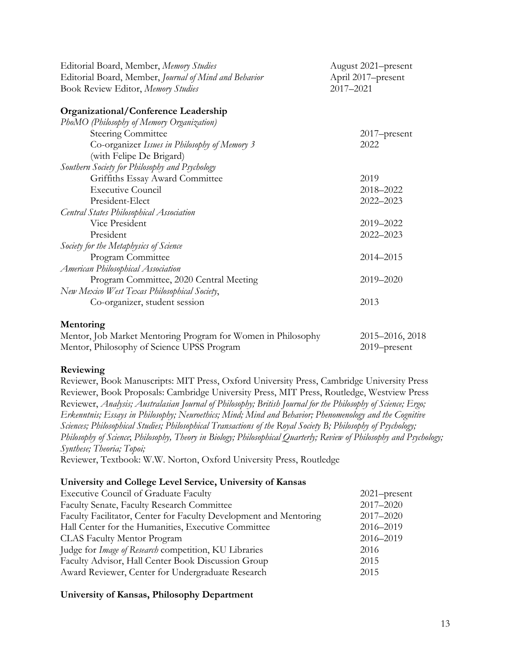| Editorial Board, Member, Memory Studies                      | August 2021-present             |  |
|--------------------------------------------------------------|---------------------------------|--|
| Editorial Board, Member, Journal of Mind and Behavior        | April 2017-present<br>2017-2021 |  |
| Book Review Editor, Memory Studies                           |                                 |  |
|                                                              |                                 |  |
| Organizational/Conference Leadership                         |                                 |  |
| PhoMO (Philosophy of Memory Organization)                    |                                 |  |
| <b>Steering Committee</b>                                    | 2017-present                    |  |
| Co-organizer Issues in Philosophy of Memory 3                | 2022                            |  |
| (with Felipe De Brigard)                                     |                                 |  |
| Southern Society for Philosophy and Psychology               |                                 |  |
| Griffiths Essay Award Committee                              | 2019                            |  |
| <b>Executive Council</b>                                     | 2018–2022                       |  |
| President-Elect                                              | 2022-2023                       |  |
| Central States Philosophical Association                     |                                 |  |
| Vice President                                               | 2019-2022                       |  |
| President                                                    | 2022-2023                       |  |
| Society for the Metaphysics of Science                       |                                 |  |
| Program Committee                                            | 2014-2015                       |  |
| American Philosophical Association                           |                                 |  |
| Program Committee, 2020 Central Meeting                      | 2019-2020                       |  |
| New Mexico West Texas Philosophical Society,                 |                                 |  |
| Co-organizer, student session                                | 2013                            |  |
| Mentoring                                                    |                                 |  |
| Mentor, Job Market Mentoring Program for Women in Philosophy | 2015–2016, 2018                 |  |

# Mentor, Philosophy of Science UPSS Program 2019–present

## **Reviewing**

Reviewer, Book Manuscripts: MIT Press, Oxford University Press, Cambridge University Press Reviewer, Book Proposals: Cambridge University Press, MIT Press, Routledge, Westview Press Reviewer, *Analysis; Australasian Journal of Philosophy; British Journal for the Philosophy of Science; Ergo; Erkenntnis; Essays in Philosophy; Neuroethics; Mind; Mind and Behavior; Phenomenology and the Cognitive Sciences; Philosophical Studies; Philosophical Transactions of the Royal Society B; Philosophy of Psychology; Philosophy of Science*; *Philosophy, Theory in Biology; Philosophical Quarterly; Review of Philosophy and Psychology; Synthese; Theoria; Topoi;*

Reviewer, Textbook: W.W. Norton, Oxford University Press, Routledge

## **University and College Level Service, University of Kansas**

| <b>Executive Council of Graduate Faculty</b>                      | $2021$ -present |
|-------------------------------------------------------------------|-----------------|
| Faculty Senate, Faculty Research Committee                        | 2017-2020       |
| Faculty Facilitator, Center for Faculty Development and Mentoring | 2017-2020       |
| Hall Center for the Humanities, Executive Committee               | 2016-2019       |
| <b>CLAS Faculty Mentor Program</b>                                | 2016-2019       |
| Judge for <i>Image of Research</i> competition, KU Libraries      | 2016            |
| Faculty Advisor, Hall Center Book Discussion Group                | 2015            |
| Award Reviewer, Center for Undergraduate Research                 | 2015            |

## **University of Kansas, Philosophy Department**